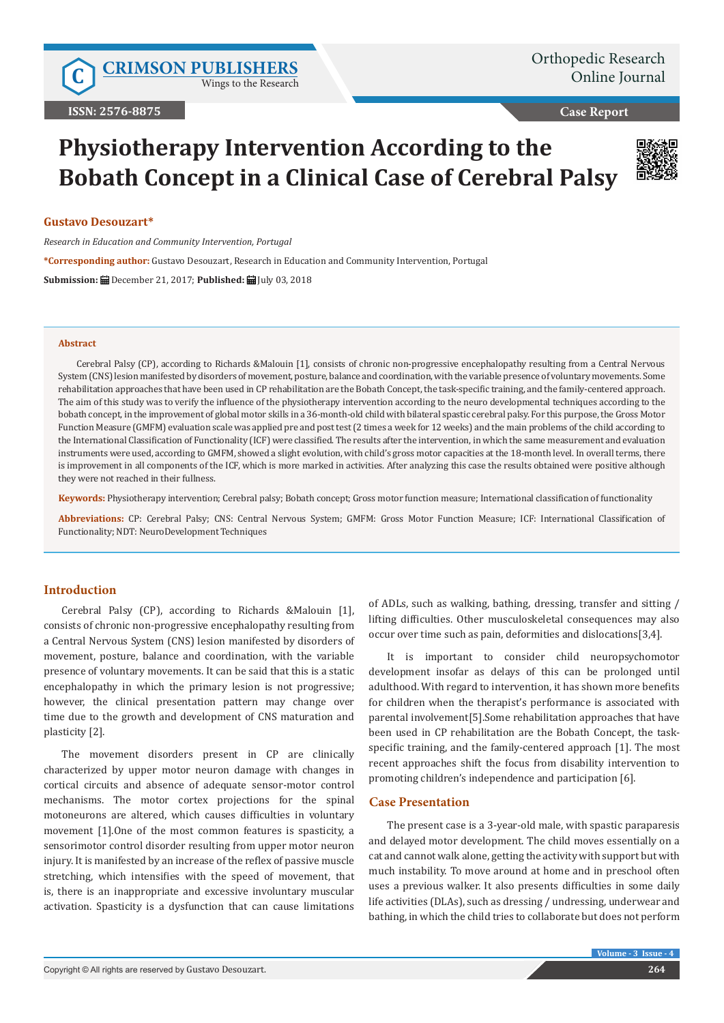Wings to the Research

**Case Report**

# **Physiotherapy Intervention According to the Bobath Concept in a Clinical Case of Cerebral Palsy**



## **Gustavo Desouzart\***

*Research in Education and Community Intervention, Portugal*

**\*Corresponding author:** Gustavo Desouzart, Research in Education and Community Intervention, Portugal

**Submission:** December 21, 2017; **Published:** July 03, 2018

#### **Abstract**

Cerebral Palsy (CP), according to Richards &Malouin [1], consists of chronic non-progressive encephalopathy resulting from a Central Nervous System (CNS) lesion manifested by disorders of movement, posture, balance and coordination, with the variable presence of voluntary movements. Some rehabilitation approaches that have been used in CP rehabilitation are the Bobath Concept, the task-specific training, and the family-centered approach. The aim of this study was to verify the influence of the physiotherapy intervention according to the neuro developmental techniques according to the bobath concept, in the improvement of global motor skills in a 36-month-old child with bilateral spastic cerebral palsy. For this purpose, the Gross Motor Function Measure (GMFM) evaluation scale was applied pre and post test (2 times a week for 12 weeks) and the main problems of the child according to the International Classification of Functionality (ICF) were classified. The results after the intervention, in which the same measurement and evaluation instruments were used, according to GMFM, showed a slight evolution, with child's gross motor capacities at the 18-month level. In overall terms, there is improvement in all components of the ICF, which is more marked in activities. After analyzing this case the results obtained were positive although they were not reached in their fullness.

**Keywords:** Physiotherapy intervention; Cerebral palsy; Bobath concept; Gross motor function measure; International classification of functionality

**Abbreviations:** CP: Cerebral Palsy; CNS: Central Nervous System; GMFM: Gross Motor Function Measure; ICF: International Classification of Functionality; NDT: NeuroDevelopment Techniques

## **Introduction**

Cerebral Palsy (CP), according to Richards &Malouin [1], consists of chronic non-progressive encephalopathy resulting from a Central Nervous System (CNS) lesion manifested by disorders of movement, posture, balance and coordination, with the variable presence of voluntary movements. It can be said that this is a static encephalopathy in which the primary lesion is not progressive; however, the clinical presentation pattern may change over time due to the growth and development of CNS maturation and plasticity [2].

The movement disorders present in CP are clinically characterized by upper motor neuron damage with changes in cortical circuits and absence of adequate sensor-motor control mechanisms. The motor cortex projections for the spinal motoneurons are altered, which causes difficulties in voluntary movement [1].One of the most common features is spasticity, a sensorimotor control disorder resulting from upper motor neuron injury. It is manifested by an increase of the reflex of passive muscle stretching, which intensifies with the speed of movement, that is, there is an inappropriate and excessive involuntary muscular activation. Spasticity is a dysfunction that can cause limitations of ADLs, such as walking, bathing, dressing, transfer and sitting / lifting difficulties. Other musculoskeletal consequences may also occur over time such as pain, deformities and dislocations[3,4].

It is important to consider child neuropsychomotor development insofar as delays of this can be prolonged until adulthood. With regard to intervention, it has shown more benefits for children when the therapist's performance is associated with parental involvement[5].Some rehabilitation approaches that have been used in CP rehabilitation are the Bobath Concept, the taskspecific training, and the family-centered approach [1]. The most recent approaches shift the focus from disability intervention to promoting children's independence and participation [6].

## **Case Presentation**

The present case is a 3-year-old male, with spastic paraparesis and delayed motor development. The child moves essentially on a cat and cannot walk alone, getting the activity with support but with much instability. To move around at home and in preschool often uses a previous walker. It also presents difficulties in some daily life activities (DLAs), such as dressing / undressing, underwear and bathing, in which the child tries to collaborate but does not perform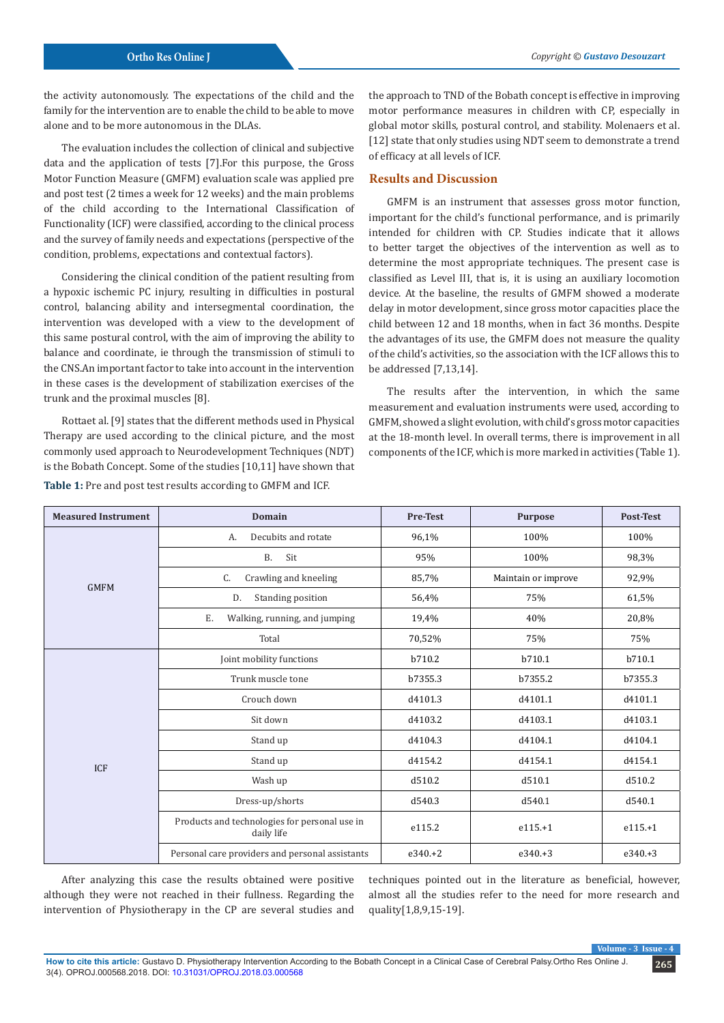the activity autonomously. The expectations of the child and the family for the intervention are to enable the child to be able to move alone and to be more autonomous in the DLAs.

The evaluation includes the collection of clinical and subjective data and the application of tests [7].For this purpose, the Gross Motor Function Measure (GMFM) evaluation scale was applied pre and post test (2 times a week for 12 weeks) and the main problems of the child according to the International Classification of Functionality (ICF) were classified, according to the clinical process and the survey of family needs and expectations (perspective of the condition, problems, expectations and contextual factors).

Considering the clinical condition of the patient resulting from a hypoxic ischemic PC injury, resulting in difficulties in postural control, balancing ability and intersegmental coordination, the intervention was developed with a view to the development of this same postural control, with the aim of improving the ability to balance and coordinate, ie through the transmission of stimuli to the CNS.An important factor to take into account in the intervention in these cases is the development of stabilization exercises of the trunk and the proximal muscles [8].

Rottaet al. [9] states that the different methods used in Physical Therapy are used according to the clinical picture, and the most commonly used approach to Neurodevelopment Techniques (NDT) is the Bobath Concept. Some of the studies [10,11] have shown that **Table 1:** Pre and post test results according to GMFM and ICF.

the approach to TND of the Bobath concept is effective in improving motor performance measures in children with CP, especially in global motor skills, postural control, and stability. Molenaers et al. [12] state that only studies using NDT seem to demonstrate a trend of efficacy at all levels of ICF.

# **Results and Discussion**

GMFM is an instrument that assesses gross motor function, important for the child's functional performance, and is primarily intended for children with CP. Studies indicate that it allows to better target the objectives of the intervention as well as to determine the most appropriate techniques. The present case is classified as Level III, that is, it is using an auxiliary locomotion device. At the baseline, the results of GMFM showed a moderate delay in motor development, since gross motor capacities place the child between 12 and 18 months, when in fact 36 months. Despite the advantages of its use, the GMFM does not measure the quality of the child's activities, so the association with the ICF allows this to be addressed [7,13,14].

The results after the intervention, in which the same measurement and evaluation instruments were used, according to GMFM, showed a slight evolution, with child's gross motor capacities at the 18-month level. In overall terms, there is improvement in all components of the ICF, which is more marked in activities (Table 1).

| <b>Measured Instrument</b> | <b>Domain</b>                                               | <b>Pre-Test</b> | Purpose             | <b>Post-Test</b> |
|----------------------------|-------------------------------------------------------------|-----------------|---------------------|------------------|
| <b>GMFM</b>                | Decubits and rotate<br>А.                                   | 96,1%           | 100%                | 100%             |
|                            | <b>B.</b><br>Sit                                            | 95%             | 100%                | 98,3%            |
|                            | Crawling and kneeling<br>C.                                 | 85,7%           | Maintain or improve | 92,9%            |
|                            | Standing position<br>D.                                     | 56,4%           | 75%                 | 61,5%            |
|                            | Ε.<br>Walking, running, and jumping                         | 19,4%           | 40%                 | 20,8%            |
|                            | Total                                                       | 70,52%          | 75%                 | 75%              |
| <b>ICF</b>                 | Joint mobility functions                                    | b710.2          | b710.1              | b710.1           |
|                            | Trunk muscle tone                                           | b7355.3         | b7355.2             | b7355.3          |
|                            | Crouch down                                                 | d4101.3         | d4101.1             | d4101.1          |
|                            | Sit down                                                    | d4103.2         | d4103.1             | d4103.1          |
|                            | Stand up                                                    | d4104.3         | d4104.1             | d4104.1          |
|                            | Stand up                                                    | d4154.2         | d4154.1             | d4154.1          |
|                            | Wash up                                                     | d510.2          | d510.1              | d510.2           |
|                            | Dress-up/shorts                                             | d540.3          | d540.1              | d540.1           |
|                            | Products and technologies for personal use in<br>daily life | e115.2          | $e115.+1$           | $e115.+1$        |
|                            | Personal care providers and personal assistants             | $e340.+2$       | $e340.+3$           | $e340.+3$        |

After analyzing this case the results obtained were positive although they were not reached in their fullness. Regarding the intervention of Physiotherapy in the CP are several studies and

techniques pointed out in the literature as beneficial, however, almost all the studies refer to the need for more research and quality[1,8,9,15-19].

**Volume - 3 Is**